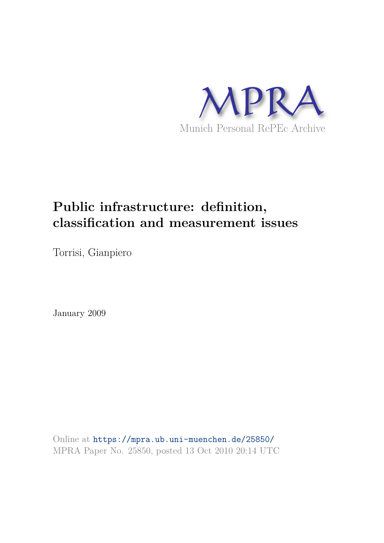

# **Public infrastructure: definition, classification and measurement issues**

Torrisi, Gianpiero

January 2009

Online at https://mpra.ub.uni-muenchen.de/25850/ MPRA Paper No. 25850, posted 13 Oct 2010 20:14 UTC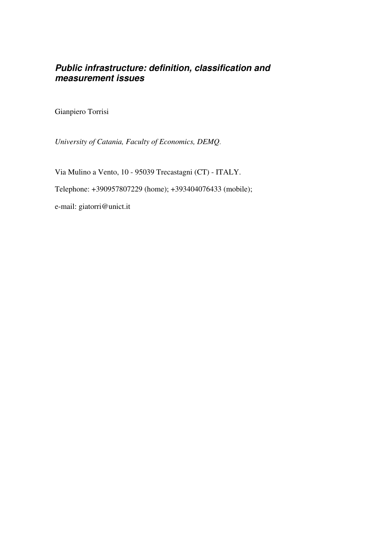# *Public infrastructure: definition, classification and measurement issues*

Gianpiero Torrisi

*University of Catania, Faculty of Economics, DEMQ*.

Via Mulino a Vento, 10 - 95039 Trecastagni (CT) - ITALY.

Telephone: +390957807229 (home); +393404076433 (mobile);

e-mail: giatorri@unict.it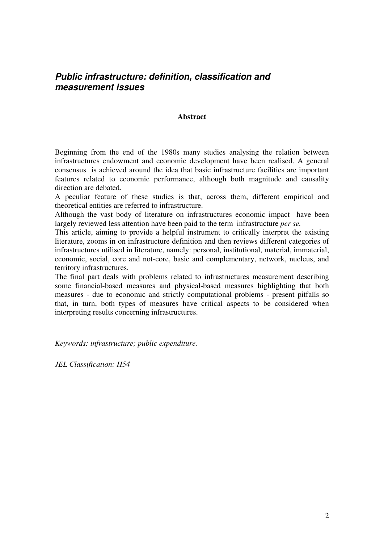# *Public infrastructure: definition, classification and measurement issues*

## **Abstract**

Beginning from the end of the 1980s many studies analysing the relation between infrastructures endowment and economic development have been realised. A general consensus is achieved around the idea that basic infrastructure facilities are important features related to economic performance, although both magnitude and causality direction are debated.

A peculiar feature of these studies is that, across them, different empirical and theoretical entities are referred to infrastructure.

Although the vast body of literature on infrastructures economic impact have been largely reviewed less attention have been paid to the term infrastructure *per se.*

This article, aiming to provide a helpful instrument to critically interpret the existing literature, zooms in on infrastructure definition and then reviews different categories of infrastructures utilised in literature, namely: personal, institutional, material, immaterial, economic, social, core and not-core, basic and complementary, network, nucleus, and territory infrastructures.

The final part deals with problems related to infrastructures measurement describing some financial-based measures and physical-based measures highlighting that both measures - due to economic and strictly computational problems - present pitfalls so that, in turn, both types of measures have critical aspects to be considered when interpreting results concerning infrastructures.

*Keywords: infrastructure; public expenditure.* 

*JEL Classification: H54*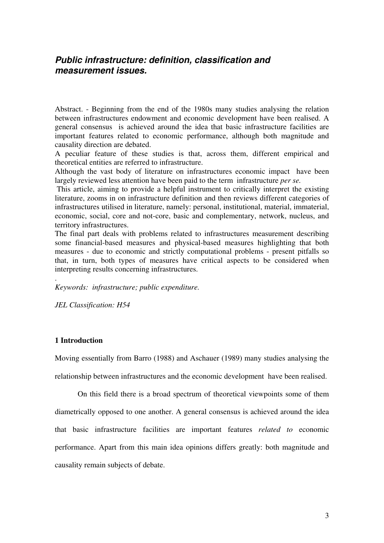# *Public infrastructure: definition, classification and measurement issues.*

Abstract. - Beginning from the end of the 1980s many studies analysing the relation between infrastructures endowment and economic development have been realised. A general consensus is achieved around the idea that basic infrastructure facilities are important features related to economic performance, although both magnitude and causality direction are debated.

A peculiar feature of these studies is that, across them, different empirical and theoretical entities are referred to infrastructure.

Although the vast body of literature on infrastructures economic impact have been largely reviewed less attention have been paid to the term infrastructure *per se.*

 This article, aiming to provide a helpful instrument to critically interpret the existing literature, zooms in on infrastructure definition and then reviews different categories of infrastructures utilised in literature, namely: personal, institutional, material, immaterial, economic, social, core and not-core, basic and complementary, network, nucleus, and territory infrastructures.

The final part deals with problems related to infrastructures measurement describing some financial-based measures and physical-based measures highlighting that both measures - due to economic and strictly computational problems - present pitfalls so that, in turn, both types of measures have critical aspects to be considered when interpreting results concerning infrastructures.

*Keywords: infrastructure; public expenditure.* 

*JEL Classification: H54*

## **1 Introduction**

.

Moving essentially from Barro (1988) and Aschauer (1989) many studies analysing the relationship between infrastructures and the economic development have been realised.

On this field there is a broad spectrum of theoretical viewpoints some of them diametrically opposed to one another. A general consensus is achieved around the idea that basic infrastructure facilities are important features *related to* economic performance. Apart from this main idea opinions differs greatly: both magnitude and causality remain subjects of debate.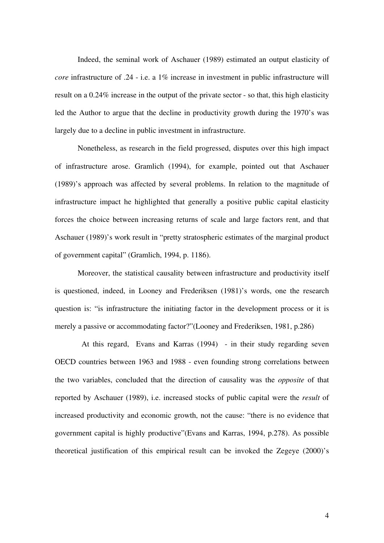Indeed, the seminal work of Aschauer (1989) estimated an output elasticity of *core* infrastructure of .24 - i.e. a 1% increase in investment in public infrastructure will result on a 0.24% increase in the output of the private sector - so that, this high elasticity led the Author to argue that the decline in productivity growth during the 1970's was largely due to a decline in public investment in infrastructure.

Nonetheless, as research in the field progressed, disputes over this high impact of infrastructure arose. Gramlich (1994), for example, pointed out that Aschauer (1989)'s approach was affected by several problems. In relation to the magnitude of infrastructure impact he highlighted that generally a positive public capital elasticity forces the choice between increasing returns of scale and large factors rent, and that Aschauer (1989)'s work result in "pretty stratospheric estimates of the marginal product of government capital" (Gramlich, 1994, p. 1186).

Moreover, the statistical causality between infrastructure and productivity itself is questioned, indeed, in Looney and Frederiksen (1981)'s words, one the research question is: "is infrastructure the initiating factor in the development process or it is merely a passive or accommodating factor?"(Looney and Frederiksen, 1981, p.286)

 At this regard, Evans and Karras (1994) - in their study regarding seven OECD countries between 1963 and 1988 - even founding strong correlations between the two variables, concluded that the direction of causality was the *opposite* of that reported by Aschauer (1989), i.e. increased stocks of public capital were the *result* of increased productivity and economic growth, not the cause: "there is no evidence that government capital is highly productive"(Evans and Karras, 1994, p.278). As possible theoretical justification of this empirical result can be invoked the Zegeye (2000)'s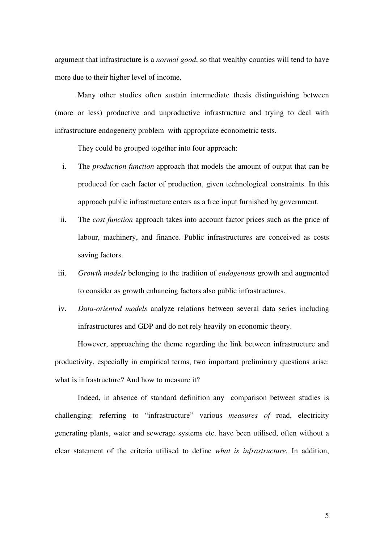argument that infrastructure is a *normal good*, so that wealthy counties will tend to have more due to their higher level of income.

Many other studies often sustain intermediate thesis distinguishing between (more or less) productive and unproductive infrastructure and trying to deal with infrastructure endogeneity problem with appropriate econometric tests.

They could be grouped together into four approach:

- i. The *production function* approach that models the amount of output that can be produced for each factor of production, given technological constraints. In this approach public infrastructure enters as a free input furnished by government.
- ii. The *cost function* approach takes into account factor prices such as the price of labour, machinery, and finance. Public infrastructures are conceived as costs saving factors.
- iii. *Growth models* belonging to the tradition of *endogenous* growth and augmented to consider as growth enhancing factors also public infrastructures.
- iv. *Data-oriented models* analyze relations between several data series including infrastructures and GDP and do not rely heavily on economic theory.

However, approaching the theme regarding the link between infrastructure and productivity, especially in empirical terms, two important preliminary questions arise: what is infrastructure? And how to measure it?

Indeed, in absence of standard definition any comparison between studies is challenging: referring to "infrastructure" various *measures of* road, electricity generating plants, water and sewerage systems etc. have been utilised, often without a clear statement of the criteria utilised to define *what is infrastructure.* In addition,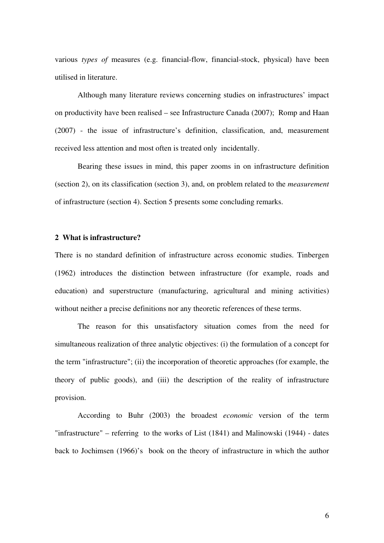various *types of* measures (e.g. financial-flow, financial-stock, physical) have been utilised in literature.

Although many literature reviews concerning studies on infrastructures' impact on productivity have been realised – see Infrastructure Canada (2007); Romp and Haan (2007) - the issue of infrastructure's definition, classification, and, measurement received less attention and most often is treated only incidentally.

Bearing these issues in mind, this paper zooms in on infrastructure definition (section 2), on its classification (section 3), and, on problem related to the *measurement*  of infrastructure (section 4). Section 5 presents some concluding remarks.

### **2 What is infrastructure?**

There is no standard definition of infrastructure across economic studies. Tinbergen (1962) introduces the distinction between infrastructure (for example, roads and education) and superstructure (manufacturing, agricultural and mining activities) without neither a precise definitions nor any theoretic references of these terms.

 The reason for this unsatisfactory situation comes from the need for simultaneous realization of three analytic objectives: (i) the formulation of a concept for the term "infrastructure"; (ii) the incorporation of theoretic approaches (for example, the theory of public goods), and (iii) the description of the reality of infrastructure provision.

According to Buhr (2003) the broadest *economic* version of the term "infrastructure" – referring to the works of List (1841) and Malinowski (1944) - dates back to Jochimsen (1966)'s book on the theory of infrastructure in which the author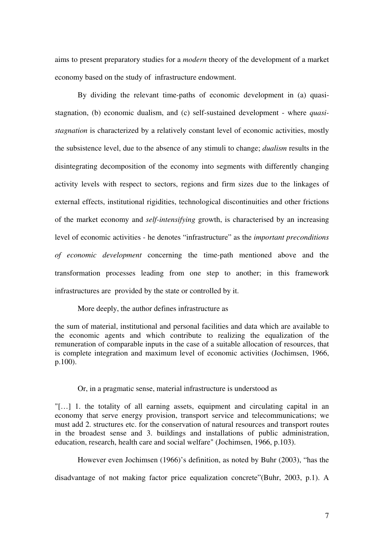aims to present preparatory studies for a *modern* theory of the development of a market economy based on the study of infrastructure endowment.

By dividing the relevant time-paths of economic development in (a) quasistagnation, (b) economic dualism, and (c) self-sustained development - where *quasistagnation* is characterized by a relatively constant level of economic activities, mostly the subsistence level, due to the absence of any stimuli to change; *dualism* results in the disintegrating decomposition of the economy into segments with differently changing activity levels with respect to sectors, regions and firm sizes due to the linkages of external effects, institutional rigidities, technological discontinuities and other frictions of the market economy and *self-intensifying* growth, is characterised by an increasing level of economic activities - he denotes "infrastructure" as the *important preconditions of economic development* concerning the time-path mentioned above and the transformation processes leading from one step to another; in this framework infrastructures are provided by the state or controlled by it.

More deeply, the author defines infrastructure as

the sum of material, institutional and personal facilities and data which are available to the economic agents and which contribute to realizing the equalization of the remuneration of comparable inputs in the case of a suitable allocation of resources, that is complete integration and maximum level of economic activities (Jochimsen, 1966, p.100).

#### Or, in a pragmatic sense, material infrastructure is understood as

"[…] 1. the totality of all earning assets, equipment and circulating capital in an economy that serve energy provision, transport service and telecommunications; we must add 2. structures etc. for the conservation of natural resources and transport routes in the broadest sense and 3. buildings and installations of public administration, education, research, health care and social welfare" (Jochimsen, 1966, p.103).

However even Jochimsen (1966)'s definition, as noted by Buhr (2003), "has the

disadvantage of not making factor price equalization concrete"(Buhr, 2003, p.1). A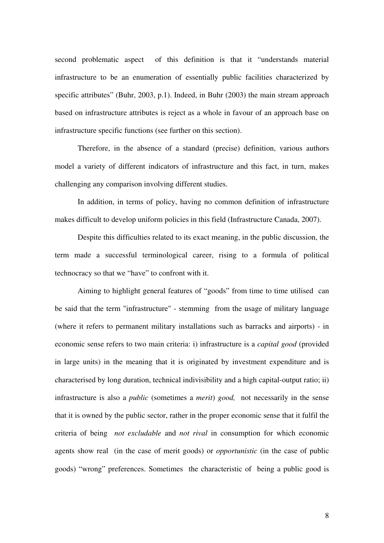second problematic aspect of this definition is that it "understands material infrastructure to be an enumeration of essentially public facilities characterized by specific attributes" (Buhr, 2003, p.1). Indeed, in Buhr (2003) the main stream approach based on infrastructure attributes is reject as a whole in favour of an approach base on infrastructure specific functions (see further on this section).

 Therefore, in the absence of a standard (precise) definition, various authors model a variety of different indicators of infrastructure and this fact, in turn, makes challenging any comparison involving different studies.

In addition, in terms of policy, having no common definition of infrastructure makes difficult to develop uniform policies in this field (Infrastructure Canada, 2007).

Despite this difficulties related to its exact meaning, in the public discussion, the term made a successful terminological career, rising to a formula of political technocracy so that we "have" to confront with it.

Aiming to highlight general features of "goods" from time to time utilised can be said that the term "infrastructure" - stemming from the usage of military language (where it refers to permanent military installations such as barracks and airports) - in economic sense refers to two main criteria: i) infrastructure is a *capital good* (provided in large units) in the meaning that it is originated by investment expenditure and is characterised by long duration, technical indivisibility and a high capital-output ratio; ii) infrastructure is also a *public* (sometimes a *merit*) *good,* not necessarily in the sense that it is owned by the public sector, rather in the proper economic sense that it fulfil the criteria of being *not excludable* and *not rival* in consumption for which economic agents show real (in the case of merit goods) or *opportunistic* (in the case of public goods) "wrong" preferences. Sometimes the characteristic of being a public good is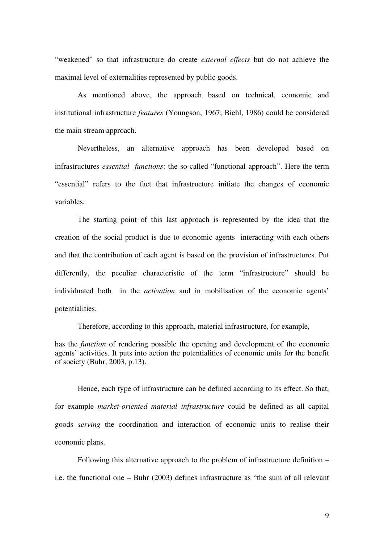"weakened" so that infrastructure do create *external effects* but do not achieve the maximal level of externalities represented by public goods.

As mentioned above, the approach based on technical, economic and institutional infrastructure *features* (Youngson, 1967; Biehl, 1986) could be considered the main stream approach.

Nevertheless, an alternative approach has been developed based on infrastructures *essential functions*: the so-called "functional approach". Here the term "essential" refers to the fact that infrastructure initiate the changes of economic variables.

The starting point of this last approach is represented by the idea that the creation of the social product is due to economic agents interacting with each others and that the contribution of each agent is based on the provision of infrastructures. Put differently, the peculiar characteristic of the term "infrastructure" should be individuated both in the *activation* and in mobilisation of the economic agents' potentialities.

Therefore, according to this approach, material infrastructure, for example,

has the *function* of rendering possible the opening and development of the economic agents' activities. It puts into action the potentialities of economic units for the benefit of society (Buhr, 2003, p.13).

Hence, each type of infrastructure can be defined according to its effect. So that, for example *market-oriented material infrastructure* could be defined as all capital goods *serving* the coordination and interaction of economic units to realise their economic plans.

Following this alternative approach to the problem of infrastructure definition – i.e. the functional one – Buhr (2003) defines infrastructure as "the sum of all relevant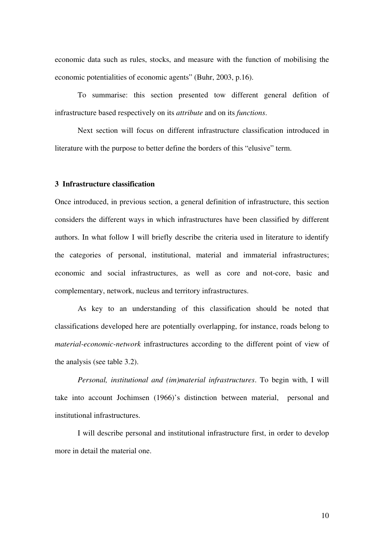economic data such as rules, stocks, and measure with the function of mobilising the economic potentialities of economic agents" (Buhr, 2003, p.16).

To summarise: this section presented tow different general defition of infrastructure based respectively on its *attribute* and on its *functions*.

Next section will focus on different infrastructure classification introduced in literature with the purpose to better define the borders of this "elusive" term.

## **3 Infrastructure classification**

Once introduced, in previous section, a general definition of infrastructure, this section considers the different ways in which infrastructures have been classified by different authors. In what follow I will briefly describe the criteria used in literature to identify the categories of personal, institutional, material and immaterial infrastructures; economic and social infrastructures, as well as core and not-core, basic and complementary, network, nucleus and territory infrastructures.

As key to an understanding of this classification should be noted that classifications developed here are potentially overlapping, for instance, roads belong to *material-economic-network* infrastructures according to the different point of view of the analysis (see table 3.2).

*Personal, institutional and (im)material infrastructures*. To begin with, I will take into account Jochimsen (1966)'s distinction between material, personal and institutional infrastructures.

I will describe personal and institutional infrastructure first, in order to develop more in detail the material one.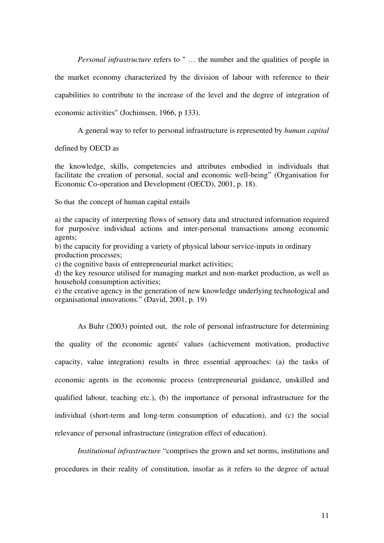*Personal infrastructure* refers to " ... the number and the qualities of people in the market economy characterized by the division of labour with reference to their capabilities to contribute to the increase of the level and the degree of integration of economic activities" (Jochimsen, 1966, p 133).

A general way to refer to personal infrastructure is represented by *human capital* 

defined by OECD as

the knowledge, skills, competencies and attributes embodied in individuals that facilitate the creation of personal, social and economic well-being" (Organisation for Economic Co-operation and Development (OECD), 2001, p. 18).

So that the concept of human capital entails

a) the capacity of interpreting flows of sensory data and structured information required for purposive individual actions and inter-personal transactions among economic agents;

b) the capacity for providing a variety of physical labour service-inputs in ordinary production processes;

c) the cognitive basis of entrepreneurial market activities;

d) the key resource utilised for managing market and non-market production, as well as household consumption activities;

e) the creative agency in the generation of new knowledge underlying technological and organisational innovations." (David, 2001, p. 19)

As Buhr (2003) pointed out, the role of personal infrastructure for determining the quality of the economic agents' values (achievement motivation, productive capacity, value integration) results in three essential approaches: (a) the tasks of economic agents in the economic process (entrepreneurial guidance, unskilled and qualified labour, teaching etc.), (b) the importance of personal infrastructure for the individual (short-term and long-term consumption of education), and (c) the social relevance of personal infrastructure (integration effect of education).

*Institutional infrastructure* "comprises the grown and set norms, institutions and procedures in their reality of constitution, insofar as it refers to the degree of actual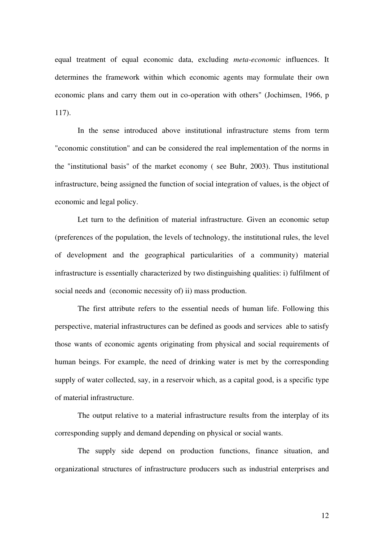equal treatment of equal economic data, excluding *meta-economic* influences. It determines the framework within which economic agents may formulate their own economic plans and carry them out in co-operation with others" (Jochimsen, 1966, p 117).

In the sense introduced above institutional infrastructure stems from term "economic constitution" and can be considered the real implementation of the norms in the "institutional basis" of the market economy ( see Buhr, 2003). Thus institutional infrastructure, being assigned the function of social integration of values, is the object of economic and legal policy.

Let turn to the definition of material infrastructure*.* Given an economic setup (preferences of the population, the levels of technology, the institutional rules, the level of development and the geographical particularities of a community) material infrastructure is essentially characterized by two distinguishing qualities: i) fulfilment of social needs and (economic necessity of) ii) mass production.

The first attribute refers to the essential needs of human life. Following this perspective, material infrastructures can be defined as goods and services able to satisfy those wants of economic agents originating from physical and social requirements of human beings. For example, the need of drinking water is met by the corresponding supply of water collected, say, in a reservoir which, as a capital good, is a specific type of material infrastructure.

The output relative to a material infrastructure results from the interplay of its corresponding supply and demand depending on physical or social wants.

The supply side depend on production functions, finance situation, and organizational structures of infrastructure producers such as industrial enterprises and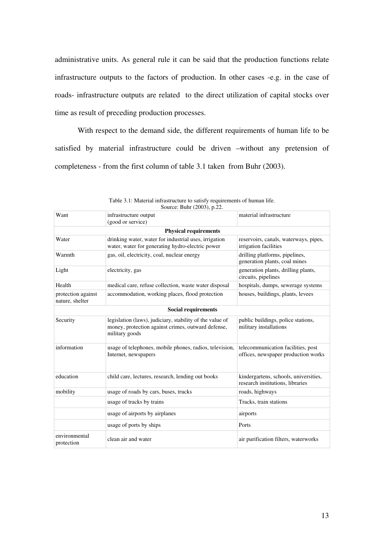administrative units. As general rule it can be said that the production functions relate infrastructure outputs to the factors of production. In other cases -e.g. in the case of roads- infrastructure outputs are related to the direct utilization of capital stocks over time as result of preceding production processes.

With respect to the demand side, the different requirements of human life to be satisfied by material infrastructure could be driven –without any pretension of completeness - from the first column of table 3.1 taken from Buhr (2003).

| Want                                  | infrastructure output                                                                                                            | material infrastructure                                                   |
|---------------------------------------|----------------------------------------------------------------------------------------------------------------------------------|---------------------------------------------------------------------------|
|                                       | (good or service)                                                                                                                |                                                                           |
|                                       | <b>Physical requirements</b>                                                                                                     |                                                                           |
| Water                                 | drinking water, water for industrial uses, irrigation<br>water, water for generating hydro-electric power                        | reservoirs, canals, waterways, pipes,<br>irrigation facilities            |
| Warmth                                | gas, oil, electricity, coal, nuclear energy                                                                                      | drilling platforms, pipelines,<br>generation plants, coal mines           |
| Light                                 | electricity, gas                                                                                                                 | generation plants, drilling plants,<br>circuits, pipelines                |
| Health                                | medical care, refuse collection, waste water disposal                                                                            | hospitals, dumps, sewerage systems                                        |
| protection against<br>nature, shelter | accommodation, working places, flood protection                                                                                  | houses, buildings, plants, levees                                         |
|                                       | <b>Social requirements</b>                                                                                                       |                                                                           |
| Security                              | legislation (laws), judiciary, stability of the value of<br>money, protection against crimes, outward defense,<br>military goods | public buildings, police stations,<br>military installations              |
| information                           | usage of telephones, mobile phones, radios, television,<br>Internet, newspapers                                                  | telecommunication facilities, post<br>offices, newspaper production works |
| education                             | child care, lectures, research, lending out books                                                                                | kindergartens, schools, universities,<br>research institutions, libraries |
| mobility                              | usage of roads by cars, buses, trucks                                                                                            | roads, highways                                                           |
|                                       | usage of tracks by trains                                                                                                        | Tracks, train stations                                                    |
|                                       | usage of airports by airplanes                                                                                                   | airports                                                                  |
|                                       | usage of ports by ships                                                                                                          | Ports                                                                     |
| environmental<br>protection           | clean air and water                                                                                                              | air purification filters, waterworks                                      |

| Table 3.1: Material infrastructure to satisfy requirements of human life. |  |
|---------------------------------------------------------------------------|--|
| Source: Buhr (2003), p.22.                                                |  |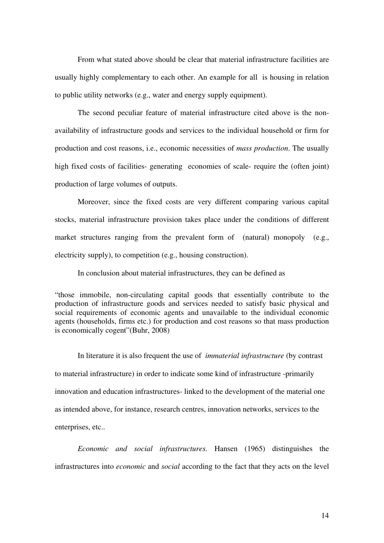From what stated above should be clear that material infrastructure facilities are usually highly complementary to each other. An example for all is housing in relation to public utility networks (e.g., water and energy supply equipment).

The second peculiar feature of material infrastructure cited above is the nonavailability of infrastructure goods and services to the individual household or firm for production and cost reasons, i.e., economic necessities of *mass production*. The usually high fixed costs of facilities- generating economies of scale- require the (often joint) production of large volumes of outputs.

Moreover, since the fixed costs are very different comparing various capital stocks, material infrastructure provision takes place under the conditions of different market structures ranging from the prevalent form of (natural) monopoly (e.g., electricity supply), to competition (e.g., housing construction).

In conclusion about material infrastructures, they can be defined as

"those immobile, non-circulating capital goods that essentially contribute to the production of infrastructure goods and services needed to satisfy basic physical and social requirements of economic agents and unavailable to the individual economic agents (households, firms etc.) for production and cost reasons so that mass production is economically cogent"(Buhr, 2008)

In literature it is also frequent the use of *immaterial infrastructure* (by contrast to material infrastructure) in order to indicate some kind of infrastructure -primarily innovation and education infrastructures- linked to the development of the material one as intended above, for instance, research centres, innovation networks, services to the enterprises, etc..

*Economic and social infrastructures.* Hansen (1965) distinguishes the infrastructures into *economic* and *social* according to the fact that they acts on the level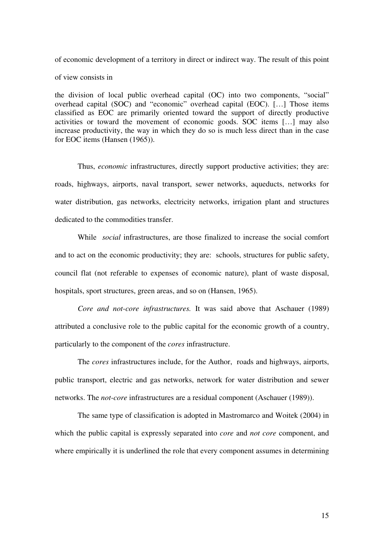of economic development of a territory in direct or indirect way. The result of this point of view consists in

the division of local public overhead capital (OC) into two components, "social" overhead capital (SOC) and "economic" overhead capital (EOC). […] Those items classified as EOC are primarily oriented toward the support of directly productive activities or toward the movement of economic goods. SOC items […] may also increase productivity, the way in which they do so is much less direct than in the case for EOC items (Hansen (1965)).

Thus, *economic* infrastructures, directly support productive activities; they are: roads, highways, airports, naval transport, sewer networks, aqueducts, networks for water distribution, gas networks, electricity networks, irrigation plant and structures dedicated to the commodities transfer.

While *social* infrastructures, are those finalized to increase the social comfort and to act on the economic productivity; they are: schools, structures for public safety, council flat (not referable to expenses of economic nature), plant of waste disposal, hospitals, sport structures, green areas, and so on (Hansen, 1965).

*Core and not-core infrastructures.* It was said above that Aschauer (1989) attributed a conclusive role to the public capital for the economic growth of a country, particularly to the component of the *cores* infrastructure.

The *cores* infrastructures include, for the Author, roads and highways, airports, public transport, electric and gas networks, network for water distribution and sewer networks. The *not-core* infrastructures are a residual component (Aschauer (1989)).

The same type of classification is adopted in Mastromarco and Woitek (2004) in which the public capital is expressly separated into *core* and *not core* component, and where empirically it is underlined the role that every component assumes in determining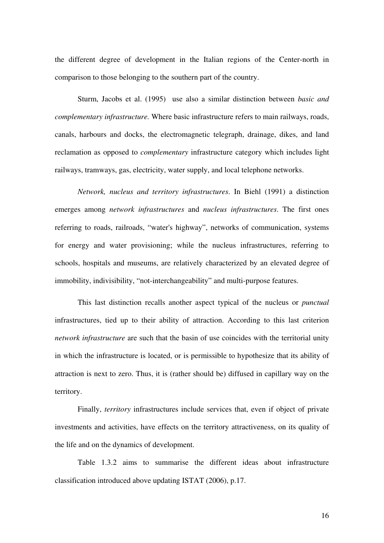the different degree of development in the Italian regions of the Center-north in comparison to those belonging to the southern part of the country.

Sturm, Jacobs et al. (1995) use also a similar distinction between *basic and complementary infrastructure.* Where basic infrastructure refers to main railways, roads, canals, harbours and docks, the electromagnetic telegraph, drainage, dikes, and land reclamation as opposed to *complementary* infrastructure category which includes light railways, tramways, gas, electricity, water supply, and local telephone networks.

*Network, nucleus and territory infrastructures*. In Biehl (1991) a distinction emerges among *network infrastructures* and *nucleus infrastructures*. The first ones referring to roads, railroads, "water's highway", networks of communication, systems for energy and water provisioning; while the nucleus infrastructures, referring to schools, hospitals and museums, are relatively characterized by an elevated degree of immobility, indivisibility, "not-interchangeability" and multi-purpose features.

This last distinction recalls another aspect typical of the nucleus or *punctual* infrastructures, tied up to their ability of attraction. According to this last criterion *network infrastructure* are such that the basin of use coincides with the territorial unity in which the infrastructure is located, or is permissible to hypothesize that its ability of attraction is next to zero. Thus, it is (rather should be) diffused in capillary way on the territory.

Finally, *territory* infrastructures include services that, even if object of private investments and activities, have effects on the territory attractiveness, on its quality of the life and on the dynamics of development.

Table 1.3.2 aims to summarise the different ideas about infrastructure classification introduced above updating ISTAT (2006), p.17.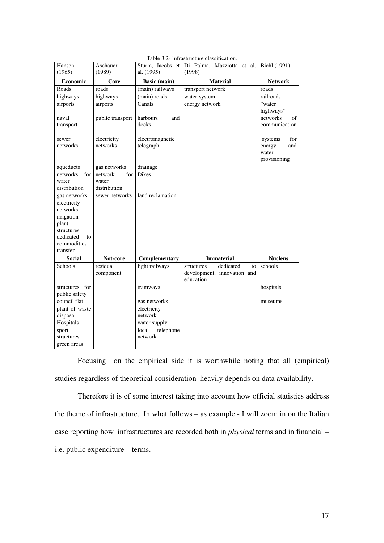|                  |                    |                                | raone 9.2- minastracture classification. |                |
|------------------|--------------------|--------------------------------|------------------------------------------|----------------|
| Hansen<br>(1965) | Aschauer<br>(1989) | Sturm, Jacobs et<br>al. (1995) | Di Palma, Mazziotta et al.<br>(1998)     | Biehl (1991)   |
| Economic         | Core               | Basic (main)                   | <b>Material</b>                          | <b>Network</b> |
| Roads            |                    |                                |                                          |                |
|                  | roads              | (main) railways                | transport network                        | roads          |
| highways         | highways           | (main) roads                   | water-system                             | railroads      |
| airports         | airports           | Canals                         | energy network                           | "water         |
|                  |                    |                                |                                          | highways"      |
| naval            | public transport   | harbours<br>and                |                                          | networks<br>οf |
| transport        |                    | docks                          |                                          | communication  |
| sewer            | electricity        | electromagnetic                |                                          | for<br>systems |
| networks         | networks           | telegraph                      |                                          | energy<br>and  |
|                  |                    |                                |                                          | water          |
|                  |                    |                                |                                          | provisioning   |
| aqueducts        | gas networks       | drainage                       |                                          |                |
| networks<br>for  | for<br>network     | <b>Dikes</b>                   |                                          |                |
| water            | water              |                                |                                          |                |
| distribution     | distribution       |                                |                                          |                |
| gas networks     | sewer networks     | land reclamation               |                                          |                |
| electricity      |                    |                                |                                          |                |
| networks         |                    |                                |                                          |                |
| irrigation       |                    |                                |                                          |                |
| plant            |                    |                                |                                          |                |
| structures       |                    |                                |                                          |                |
| dedicated<br>to  |                    |                                |                                          |                |
| commodities      |                    |                                |                                          |                |
| transfer         |                    |                                |                                          |                |
| <b>Social</b>    | Not-core           | Complementary                  | <b>Immaterial</b>                        | <b>Nucleus</b> |
| Schools          | residual           | light railways                 | dedicated<br>structures<br>to            | schools        |
|                  | component          |                                | development, innovation and              |                |
|                  |                    |                                | education                                |                |
| structures for   |                    | tramways                       |                                          | hospitals      |
| public safety    |                    |                                |                                          |                |
| council flat     |                    | gas networks                   |                                          | museums        |
| plant of waste   |                    | electricity                    |                                          |                |
| disposal         |                    | network                        |                                          |                |
| Hospitals        |                    | water supply                   |                                          |                |
| sport            |                    | local<br>telephone             |                                          |                |
| structures       |                    | network                        |                                          |                |
| green areas      |                    |                                |                                          |                |

|  |  |  | Table 3.2- Infrastructure classification. |
|--|--|--|-------------------------------------------|
|--|--|--|-------------------------------------------|

Focusing on the empirical side it is worthwhile noting that all (empirical) studies regardless of theoretical consideration heavily depends on data availability.

Therefore it is of some interest taking into account how official statistics address the theme of infrastructure. In what follows – as example - I will zoom in on the Italian case reporting how infrastructures are recorded both in *physical* terms and in financial – i.e. public expenditure – terms.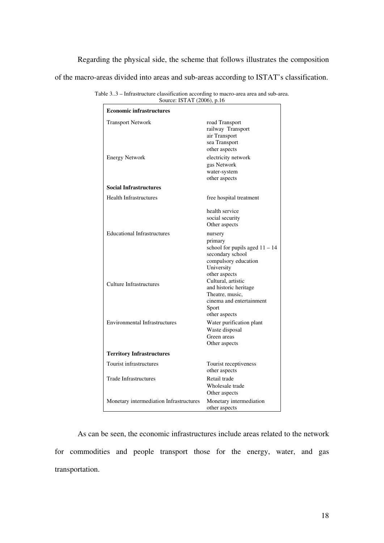Regarding the physical side, the scheme that follows illustrates the composition of the macro-areas divided into areas and sub-areas according to ISTAT's classification.

| <b>Economic infrastructures</b>                   |                                                                                                                                                               |
|---------------------------------------------------|---------------------------------------------------------------------------------------------------------------------------------------------------------------|
| <b>Transport Network</b><br><b>Energy Network</b> | road Transport<br>railway Transport<br>air Transport<br>sea Transport<br>other aspects<br>electricity network<br>gas Network<br>water-system<br>other aspects |
| <b>Social Infrastructures</b>                     |                                                                                                                                                               |
| <b>Health Infrastructures</b>                     | free hospital treatment                                                                                                                                       |
|                                                   | health service<br>social security<br>Other aspects                                                                                                            |
| <b>Educational Infrastructures</b>                | nursery<br>primary<br>school for pupils aged $11 - 14$<br>secondary school<br>compulsory education<br>University                                              |
| Culture Infrastructures                           | other aspects<br>Cultural, artistic<br>and historic heritage<br>Theatre, music,<br>cinema and entertainment<br>Sport<br>other aspects                         |
| <b>Environmental Infrastructures</b>              | Water purification plant<br>Waste disposal<br>Green areas<br>Other aspects                                                                                    |
| <b>Territory Infrastructures</b>                  |                                                                                                                                                               |
| Tourist infrastructures                           | Tourist receptiveness<br>other aspects                                                                                                                        |
| <b>Trade Infrastructures</b>                      | Retail trade<br>Wholesale trade<br>Other aspects                                                                                                              |
| Monetary intermediation Infrastructures           | Monetary intermediation<br>other aspects                                                                                                                      |

Table 3..3 – Infrastructure classification according to macro-area area and sub-area. Source: ISTAT (2006), p.16

As can be seen, the economic infrastructures include areas related to the network for commodities and people transport those for the energy, water, and gas transportation.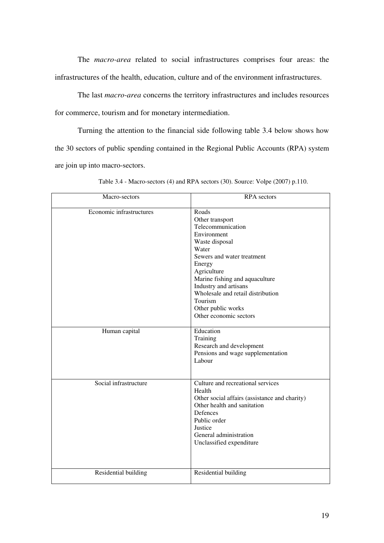The *macro-area* related to social infrastructures comprises four areas: the infrastructures of the health, education, culture and of the environment infrastructures.

The last *macro-area* concerns the territory infrastructures and includes resources for commerce, tourism and for monetary intermediation.

Turning the attention to the financial side following table 3.4 below shows how the 30 sectors of public spending contained in the Regional Public Accounts (RPA) system are join up into macro-sectors.

| Macro-sectors            | <b>RPA</b> sectors                                                                                                                                                                                                                                                                                        |
|--------------------------|-----------------------------------------------------------------------------------------------------------------------------------------------------------------------------------------------------------------------------------------------------------------------------------------------------------|
| Economic infrastructures | Roads<br>Other transport<br>Telecommunication<br>Environment<br>Waste disposal<br>Water<br>Sewers and water treatment<br>Energy<br>Agriculture<br>Marine fishing and aquaculture<br>Industry and artisans<br>Wholesale and retail distribution<br>Tourism<br>Other public works<br>Other economic sectors |
| Human capital            | Education<br>Training<br>Research and development<br>Pensions and wage supplementation<br>Labour                                                                                                                                                                                                          |
| Social infrastructure    | Culture and recreational services<br>Health<br>Other social affairs (assistance and charity)<br>Other health and sanitation<br>Defences<br>Public order<br>Justice<br>General administration<br>Unclassified expenditure                                                                                  |
| Residential building     | Residential building                                                                                                                                                                                                                                                                                      |

Table 3.4 - Macro-sectors (4) and RPA sectors (30). Source: Volpe (2007) p.110.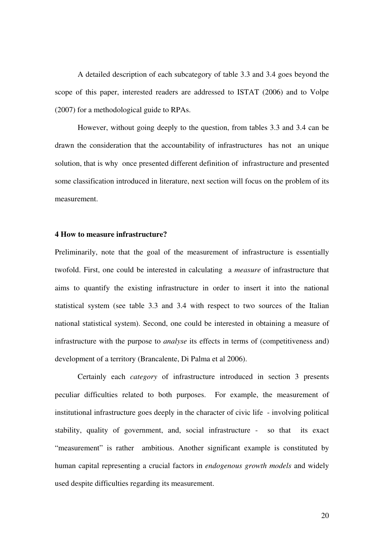A detailed description of each subcategory of table 3.3 and 3.4 goes beyond the scope of this paper, interested readers are addressed to ISTAT (2006) and to Volpe (2007) for a methodological guide to RPAs.

However, without going deeply to the question, from tables 3.3 and 3.4 can be drawn the consideration that the accountability of infrastructures has not an unique solution, that is why once presented different definition of infrastructure and presented some classification introduced in literature, next section will focus on the problem of its measurement.

#### **4 How to measure infrastructure?**

Preliminarily, note that the goal of the measurement of infrastructure is essentially twofold. First, one could be interested in calculating a *measure* of infrastructure that aims to quantify the existing infrastructure in order to insert it into the national statistical system (see table 3.3 and 3.4 with respect to two sources of the Italian national statistical system). Second, one could be interested in obtaining a measure of infrastructure with the purpose to *analyse* its effects in terms of (competitiveness and) development of a territory (Brancalente, Di Palma et al 2006).

 Certainly each *category* of infrastructure introduced in section 3 presents peculiar difficulties related to both purposes. For example, the measurement of institutional infrastructure goes deeply in the character of civic life - involving political stability, quality of government, and, social infrastructure - so that its exact "measurement" is rather ambitious. Another significant example is constituted by human capital representing a crucial factors in *endogenous growth models* and widely used despite difficulties regarding its measurement.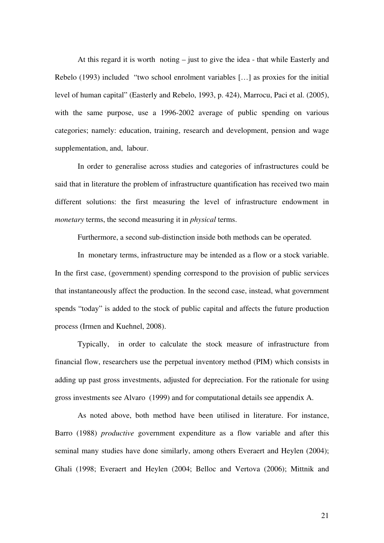At this regard it is worth noting – just to give the idea - that while Easterly and Rebelo (1993) included "two school enrolment variables […] as proxies for the initial level of human capital" (Easterly and Rebelo, 1993, p. 424), Marrocu, Paci et al. (2005), with the same purpose, use a 1996-2002 average of public spending on various categories; namely: education, training, research and development, pension and wage supplementation, and, labour.

In order to generalise across studies and categories of infrastructures could be said that in literature the problem of infrastructure quantification has received two main different solutions: the first measuring the level of infrastructure endowment in *monetary* terms, the second measuring it in *physical* terms.

Furthermore, a second sub-distinction inside both methods can be operated.

In monetary terms, infrastructure may be intended as a flow or a stock variable. In the first case, (government) spending correspond to the provision of public services that instantaneously affect the production. In the second case, instead, what government spends "today" is added to the stock of public capital and affects the future production process (Irmen and Kuehnel, 2008).

Typically, in order to calculate the stock measure of infrastructure from financial flow, researchers use the perpetual inventory method (PIM) which consists in adding up past gross investments, adjusted for depreciation. For the rationale for using gross investments see Alvaro (1999) and for computational details see appendix A.

As noted above, both method have been utilised in literature. For instance, Barro (1988) *productive* government expenditure as a flow variable and after this seminal many studies have done similarly, among others Everaert and Heylen (2004); Ghali (1998; Everaert and Heylen (2004; Belloc and Vertova (2006); Mittnik and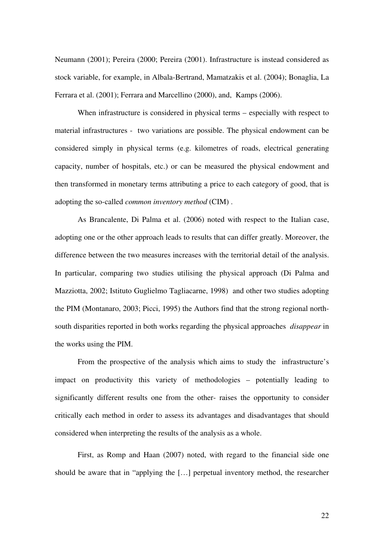Neumann (2001); Pereira (2000; Pereira (2001). Infrastructure is instead considered as stock variable, for example, in Albala-Bertrand, Mamatzakis et al. (2004); Bonaglia, La Ferrara et al. (2001); Ferrara and Marcellino (2000), and, Kamps (2006).

When infrastructure is considered in physical terms – especially with respect to material infrastructures - two variations are possible. The physical endowment can be considered simply in physical terms (e.g. kilometres of roads, electrical generating capacity, number of hospitals, etc.) or can be measured the physical endowment and then transformed in monetary terms attributing a price to each category of good, that is adopting the so-called *common inventory method* (CIM) .

As Brancalente, Di Palma et al. (2006) noted with respect to the Italian case, adopting one or the other approach leads to results that can differ greatly. Moreover, the difference between the two measures increases with the territorial detail of the analysis. In particular, comparing two studies utilising the physical approach (Di Palma and Mazziotta, 2002; Istituto Guglielmo Tagliacarne, 1998) and other two studies adopting the PIM (Montanaro, 2003; Picci, 1995) the Authors find that the strong regional northsouth disparities reported in both works regarding the physical approaches *disappear* in the works using the PIM.

From the prospective of the analysis which aims to study the infrastructure's impact on productivity this variety of methodologies – potentially leading to significantly different results one from the other- raises the opportunity to consider critically each method in order to assess its advantages and disadvantages that should considered when interpreting the results of the analysis as a whole.

First, as Romp and Haan (2007) noted, with regard to the financial side one should be aware that in "applying the […] perpetual inventory method, the researcher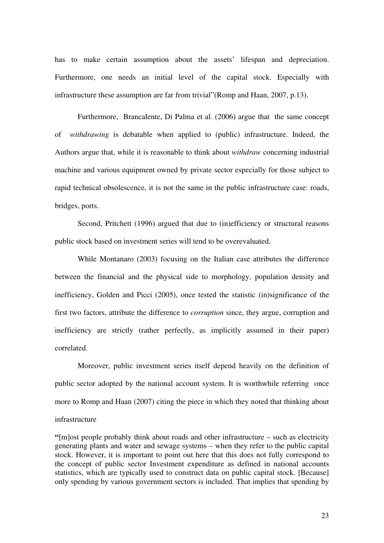has to make certain assumption about the assets' lifespan and depreciation. Furthermore, one needs an initial level of the capital stock. Especially with infrastructure these assumption are far from trivial"(Romp and Haan, 2007, p.13).

Furthermore, Brancalente, Di Palma et al. (2006) argue that the same concept of *withdrawing* is debatable when applied to (public) infrastructure. Indeed, the Authors argue that, while it is reasonable to think about *withdraw* concerning industrial machine and various equipment owned by private sector especially for those subject to rapid technical obsolescence, it is not the same in the public infrastructure case: roads, bridges, ports.

Second, Pritchett (1996) argued that due to (in)efficiency or structural reasons public stock based on investment series will tend to be overevaluated.

While Montanaro (2003) focusing on the Italian case attributes the difference between the financial and the physical side to morphology, population density and inefficiency, Golden and Picci (2005), once tested the statistic (in)significance of the first two factors, attribute the difference to *corruption* since, they argue, corruption and inefficiency are strictly (rather perfectly, as implicitly assumed in their paper) correlated.

Moreover, public investment series itself depend heavily on the definition of public sector adopted by the national account system. It is worthwhile referring once more to Romp and Haan (2007) citing the piece in which they noted that thinking about infrastructure

**"**[m]ost people probably think about roads and other infrastructure – such as electricity generating plants and water and sewage systems – when they refer to the public capital stock. However, it is important to point out here that this does not fully correspond to the concept of public sector Investment expenditure as defined in national accounts statistics, which are typically used to construct data on public capital stock. [Because] only spending by various government sectors is included. That implies that spending by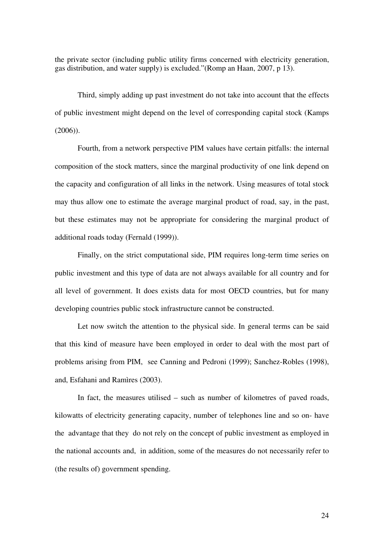the private sector (including public utility firms concerned with electricity generation, gas distribution, and water supply) is excluded."(Romp an Haan, 2007, p 13).

Third, simply adding up past investment do not take into account that the effects of public investment might depend on the level of corresponding capital stock (Kamps (2006)).

Fourth, from a network perspective PIM values have certain pitfalls: the internal composition of the stock matters, since the marginal productivity of one link depend on the capacity and configuration of all links in the network. Using measures of total stock may thus allow one to estimate the average marginal product of road, say, in the past, but these estimates may not be appropriate for considering the marginal product of additional roads today (Fernald (1999)).

Finally, on the strict computational side, PIM requires long-term time series on public investment and this type of data are not always available for all country and for all level of government. It does exists data for most OECD countries, but for many developing countries public stock infrastructure cannot be constructed.

Let now switch the attention to the physical side. In general terms can be said that this kind of measure have been employed in order to deal with the most part of problems arising from PIM, see Canning and Pedroni (1999); Sanchez-Robles (1998), and, Esfahani and Ramìres (2003).

In fact, the measures utilised – such as number of kilometres of paved roads, kilowatts of electricity generating capacity, number of telephones line and so on- have the advantage that they do not rely on the concept of public investment as employed in the national accounts and, in addition, some of the measures do not necessarily refer to (the results of) government spending.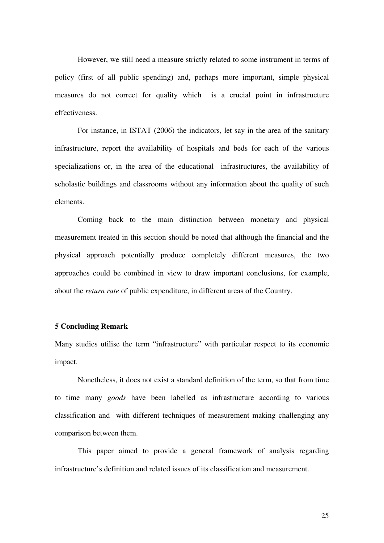However, we still need a measure strictly related to some instrument in terms of policy (first of all public spending) and, perhaps more important, simple physical measures do not correct for quality which is a crucial point in infrastructure effectiveness.

For instance, in ISTAT (2006) the indicators, let say in the area of the sanitary infrastructure, report the availability of hospitals and beds for each of the various specializations or, in the area of the educational infrastructures, the availability of scholastic buildings and classrooms without any information about the quality of such elements.

Coming back to the main distinction between monetary and physical measurement treated in this section should be noted that although the financial and the physical approach potentially produce completely different measures, the two approaches could be combined in view to draw important conclusions, for example, about the *return rate* of public expenditure, in different areas of the Country.

#### **5 Concluding Remark**

Many studies utilise the term "infrastructure" with particular respect to its economic impact.

Nonetheless, it does not exist a standard definition of the term, so that from time to time many *goods* have been labelled as infrastructure according to various classification and with different techniques of measurement making challenging any comparison between them.

This paper aimed to provide a general framework of analysis regarding infrastructure's definition and related issues of its classification and measurement.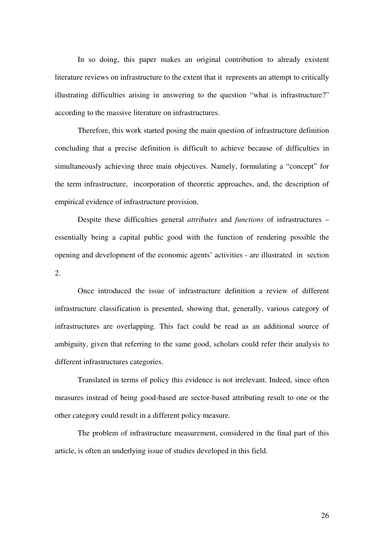In so doing, this paper makes an original contribution to already existent literature reviews on infrastructure to the extent that it represents an attempt to critically illustrating difficulties arising in answering to the question "what is infrastructure?" according to the massive literature on infrastructures.

Therefore, this work started posing the main question of infrastructure definition concluding that a precise definition is difficult to achieve because of difficulties in simultaneously achieving three main objectives. Namely, formulating a "concept" for the term infrastructure, incorporation of theoretic approaches, and, the description of empirical evidence of infrastructure provision.

Despite these difficulties general *attributes* and *functions* of infrastructures – essentially being a capital public good with the function of rendering possible the opening and development of the economic agents' activities - are illustrated in section 2.

Once introduced the issue of infrastructure definition a review of different infrastructure classification is presented, showing that, generally, various category of infrastructures are overlapping. This fact could be read as an additional source of ambiguity, given that referring to the same good, scholars could refer their analysis to different infrastructures categories.

Translated in terms of policy this evidence is not irrelevant. Indeed, since often measures instead of being good-based are sector-based attributing result to one or the other category could result in a different policy measure.

The problem of infrastructure measurement, considered in the final part of this article, is often an underlying issue of studies developed in this field.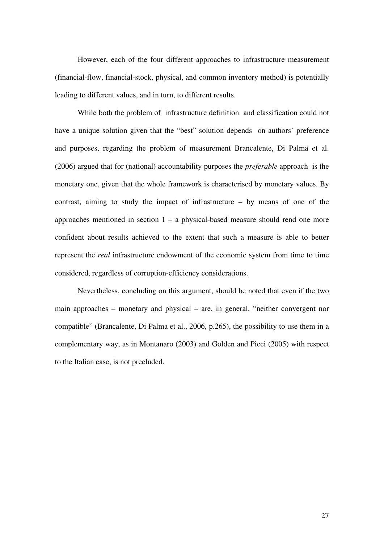However, each of the four different approaches to infrastructure measurement (financial-flow, financial-stock, physical, and common inventory method) is potentially leading to different values, and in turn, to different results.

While both the problem of infrastructure definition and classification could not have a unique solution given that the "best" solution depends on authors' preference and purposes, regarding the problem of measurement Brancalente, Di Palma et al. (2006) argued that for (national) accountability purposes the *preferable* approach is the monetary one, given that the whole framework is characterised by monetary values. By contrast, aiming to study the impact of infrastructure – by means of one of the approaches mentioned in section  $1 - a$  physical-based measure should rend one more confident about results achieved to the extent that such a measure is able to better represent the *real* infrastructure endowment of the economic system from time to time considered, regardless of corruption-efficiency considerations.

Nevertheless, concluding on this argument, should be noted that even if the two main approaches – monetary and physical – are, in general, "neither convergent nor compatible" (Brancalente, Di Palma et al., 2006, p.265), the possibility to use them in a complementary way, as in Montanaro (2003) and Golden and Picci (2005) with respect to the Italian case, is not precluded.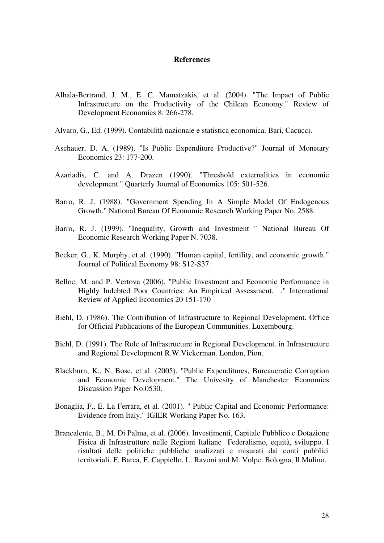#### **References**

- Albala-Bertrand, J. M., E. C. Mamatzakis, et al. (2004). "The Impact of Public Infrastructure on the Productivity of the Chilean Economy." Review of Development Economics 8: 266-278.
- Alvaro, G., Ed. (1999). Contabilità nazionale e statistica economica. Bari, Cacucci.
- Aschauer, D. A. (1989). "Is Public Expenditure Productive?" Journal of Monetary Economics 23: 177-200.
- Azariadis, C. and A. Drazen (1990). "Threshold externalities in economic development." Quarterly Journal of Economics 105: 501-526.
- Barro, R. J. (1988). "Government Spending In A Simple Model Of Endogenous Growth." National Bureau Of Economic Research Working Paper No. 2588.
- Barro, R. J. (1999). "Inequality, Growth and Investment " National Bureau Of Economic Research Working Paper N. 7038.
- Becker, G., K. Murphy, et al. (1990). "Human capital, fertility, and economic growth." Journal of Political Economy 98: S12-S37.
- Belloc, M. and P. Vertova (2006). "Public Investment and Economic Performance in Highly Indebted Poor Countries: An Empirical Assessment. ." International Review of Applied Economics 20 151-170
- Biehl, D. (1986). The Contribution of Infrastructure to Regional Development. Office for Official Publications of the European Communities. Luxembourg.
- Biehl, D. (1991). The Role of Infrastructure in Regional Development. in Infrastructure and Regional Development R.W.Vickerman. London, Pion.
- Blackburn, K., N. Bose, et al. (2005). "Public Expenditures, Bureaucratic Corruption and Economic Development." The Univesity of Manchester Economics Discussion Paper No.0530.
- Bonaglia, F., E. La Ferrara, et al. (2001). " Public Capital and Economic Performance: Evidence from Italy." IGIER Working Paper No. 163.
- Brancalente, B., M. Di Palma, et al. (2006). Investimenti, Capitale Pubblico e Dotazione Fisica di Infrastrutture nelle Regioni Italiane Federalismo, equità, sviluppo. I risultati delle politiche pubbliche analizzati e misurati dai conti pubblici territoriali. F. Barca, F. Cappiello, L. Ravoni and M. Volpe. Bologna, Il Mulino.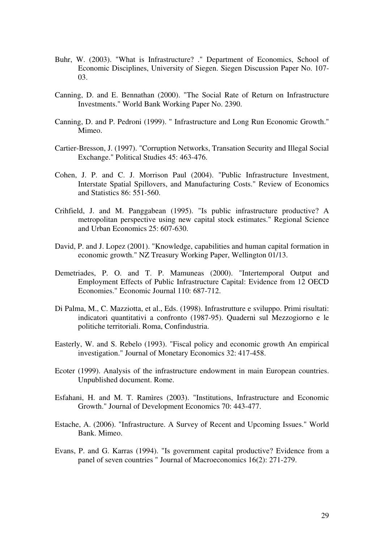- Buhr, W. (2003). "What is Infrastructure? ." Department of Economics, School of Economic Disciplines, University of Siegen. Siegen Discussion Paper No. 107- 03.
- Canning, D. and E. Bennathan (2000). "The Social Rate of Return on Infrastructure Investments." World Bank Working Paper No. 2390.
- Canning, D. and P. Pedroni (1999). " Infrastructure and Long Run Economic Growth." Mimeo.
- Cartier-Bresson, J. (1997). "Corruption Networks, Transation Security and Illegal Social Exchange." Political Studies 45: 463-476.
- Cohen, J. P. and C. J. Morrison Paul (2004). "Public Infrastructure Investment, Interstate Spatial Spillovers, and Manufacturing Costs." Review of Economics and Statistics 86: 551-560.
- Crihfield, J. and M. Panggabean (1995). "Is public infrastructure productive? A metropolitan perspective using new capital stock estimates." Regional Science and Urban Economics 25: 607-630.
- David, P. and J. Lopez (2001). "Knowledge, capabilities and human capital formation in economic growth." NZ Treasury Working Paper, Wellington 01/13.
- Demetriades, P. O. and T. P. Mamuneas (2000). "Intertemporal Output and Employment Effects of Public Infrastructure Capital: Evidence from 12 OECD Economies." Economic Journal 110: 687-712.
- Di Palma, M., C. Mazziotta, et al., Eds. (1998). Infrastrutture e sviluppo. Primi risultati: indicatori quantitativi a confronto (1987-95). Quaderni sul Mezzogiorno e le politiche territoriali. Roma, Confindustria.
- Easterly, W. and S. Rebelo (1993). "Fiscal policy and economic growth An empirical investigation." Journal of Monetary Economics 32: 417-458.
- Ecoter (1999). Analysis of the infrastructure endowment in main European countries. Unpublished document. Rome.
- Esfahani, H. and M. T. Ramìres (2003). "Institutions, Infrastructure and Economic Growth." Journal of Development Economics 70: 443-477.
- Estache, A. (2006). "Infrastructure. A Survey of Recent and Upcoming Issues." World Bank. Mimeo.
- Evans, P. and G. Karras (1994). "Is government capital productive? Evidence from a panel of seven countries " Journal of Macroeconomics 16(2): 271-279.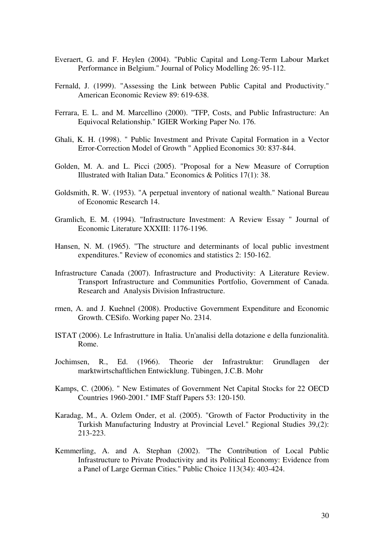- Everaert, G. and F. Heylen (2004). "Public Capital and Long-Term Labour Market Performance in Belgium." Journal of Policy Modelling 26: 95-112.
- Fernald, J. (1999). "Assessing the Link between Public Capital and Productivity." American Economic Review 89: 619-638.
- Ferrara, E. L. and M. Marcellino (2000). "TFP, Costs, and Public Infrastructure: An Equivocal Relationship." IGIER Working Paper No. 176.
- Ghali, K. H. (1998). " Public Investment and Private Capital Formation in a Vector Error-Correction Model of Growth " Applied Economics 30: 837-844.
- Golden, M. A. and L. Picci (2005). "Proposal for a New Measure of Corruption Illustrated with Italian Data." Economics & Politics 17(1): 38.
- Goldsmith, R. W. (1953). "A perpetual inventory of national wealth." National Bureau of Economic Research 14.
- Gramlich, E. M. (1994). "Infrastructure Investment: A Review Essay " Journal of Economic Literature XXXIII: 1176-1196.
- Hansen, N. M. (1965). "The structure and determinants of local public investment expenditures." Review of economics and statistics 2: 150-162.
- Infrastructure Canada (2007). Infrastructure and Productivity: A Literature Review. Transport Infrastructure and Communities Portfolio, Government of Canada. Research and Analysis Division Infrastructure.
- rmen, A. and J. Kuehnel (2008). Productive Government Expenditure and Economic Growth. CESifo. Working paper No. 2314.
- ISTAT (2006). Le Infrastrutture in Italia. Un'analisi della dotazione e della funzionalità. Rome.
- Jochimsen, R., Ed. (1966). Theorie der Infrastruktur: Grundlagen der marktwirtschaftlichen Entwicklung. Tübingen, J.C.B. Mohr
- Kamps, C. (2006). " New Estimates of Government Net Capital Stocks for 22 OECD Countries 1960-2001." IMF Staff Papers 53: 120-150.
- Karadag, M., A. Ozlem Onder, et al. (2005). "Growth of Factor Productivity in the Turkish Manufacturing Industry at Provincial Level." Regional Studies 39,(2): 213-223.
- Kemmerling, A. and A. Stephan (2002). "The Contribution of Local Public Infrastructure to Private Productivity and its Political Economy: Evidence from a Panel of Large German Cities." Public Choice 113(34): 403-424.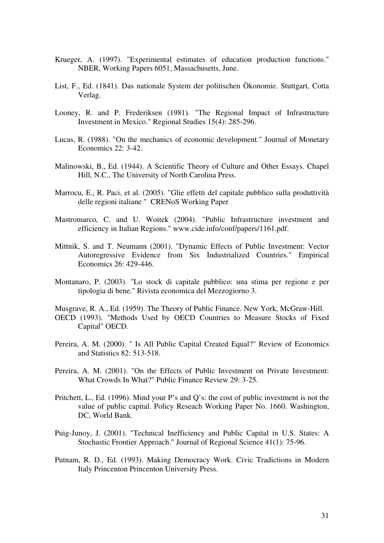- Krueger, A. (1997). "Experimental estimates of education production functions." NBER, Working Papers 6051, Massachusetts, June.
- List, F., Ed. (1841). Das nationale System der politischen Ökonomie. Stuttgart, Cotta Verlag.
- Looney, R. and P. Frederiksen (1981). "The Regional Impact of Infrastructure Investment in Mexico." Regional Studies 15(4): 285-296.
- Lucas, R. (1988). "On the mechanics of economic development." Journal of Monetary Economics 22: 3-42.
- Malinowski, B., Ed. (1944). A Scientific Theory of Culture and Other Essays. Chapel Hill, N.C., The University of North Carolina Press.
- Marrocu, E., R. Paci, et al. (2005). "Glie effetti del capitale pubblico sulla produttività delle regioni italiane " CRENoS Working Paper
- Mastromarco, C. and U. Woitek (2004). "Public Infrastructure investment and efficiency in Italian Regions." www.cide.info/conf/papers/1161.pdf.
- Mittnik, S. and T. Neumann (2001). "Dynamic Effects of Public Investment: Vector Autoregressive Evidence from Six Industrialized Countries." Empirical Economics 26: 429-446.
- Montanaro, P. (2003). "Lo stock di capitale pubblico: una stima per regione e per tipologia di bene." Rivista economica del Mezzogiorno 3.

Musgrave, R. A., Ed. (1959). The Theory of Public Finance. New York, McGraw-Hill.

- OECD (1993). "Methods Used by OECD Countries to Measure Stocks of Fixed Capital" OECD.
- Pereira, A. M. (2000). " Is All Public Capital Created Equal?" Review of Economics and Statistics 82: 513-518.
- Pereira, A. M. (2001). "On the Effects of Public Investment on Private Investment: What Crowds In What?" Public Finance Review 29: 3-25.
- Pritchett, L., Ed. (1996). Mind your P's and Q's: the cost of public investment is not the value of public capital. Policy Reseach Working Paper No. 1660. Washington, DC, World Bank.
- Puig-Junoy, J. (2001). "Technical Inefficiency and Public Capital in U.S. States: A Stochastic Frontier Approach." Journal of Regional Science 41(1): 75-96.
- Putnam, R. D., Ed. (1993). Making Democracy Work. Civic Tradictions in Modern Italy Princenton Princenton University Press.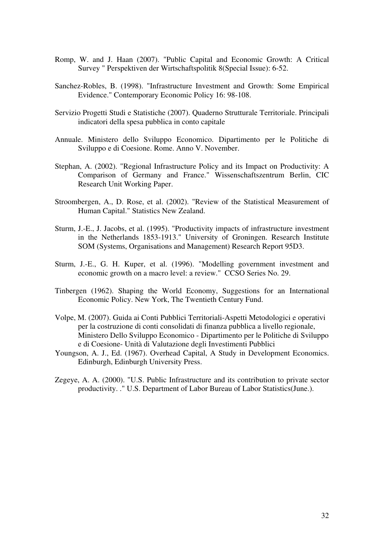- Romp, W. and J. Haan (2007). "Public Capital and Economic Growth: A Critical Survey " Perspektiven der Wirtschaftspolitik 8(Special Issue): 6-52.
- Sanchez-Robles, B. (1998). "Infrastructure Investment and Growth: Some Empirical Evidence." Contemporary Economic Policy 16: 98-108.
- Servizio Progetti Studi e Statistiche (2007). Quaderno Strutturale Territoriale. Principali indicatori della spesa pubblica in conto capitale
- Annuale. Ministero dello Sviluppo Economico. Dipartimento per le Politiche di Sviluppo e di Coesione. Rome. Anno V. November.
- Stephan, A. (2002). "Regional Infrastructure Policy and its Impact on Productivity: A Comparison of Germany and France." Wissenschaftszentrum Berlin, CIC Research Unit Working Paper.
- Stroombergen, A., D. Rose, et al. (2002). "Review of the Statistical Measurement of Human Capital." Statistics New Zealand.
- Sturm, J.-E., J. Jacobs, et al. (1995). "Productivity impacts of infrastructure investment in the Netherlands 1853-1913." University of Groningen. Research Institute SOM (Systems, Organisations and Management) Research Report 95D3.
- Sturm, J.-E., G. H. Kuper, et al. (1996). "Modelling government investment and economic growth on a macro level: a review." CCSO Series No. 29.
- Tinbergen (1962). Shaping the World Economy, Suggestions for an International Economic Policy. New York, The Twentieth Century Fund.
- Volpe, M. (2007). Guida ai Conti Pubblici Territoriali-Aspetti Metodologici e operativi per la costruzione di conti consolidati di finanza pubblica a livello regionale, Ministero Dello Sviluppo Economico - Dipartimento per le Politiche di Sviluppo e di Coesione- Unità di Valutazione degli Investimenti Pubblici
- Youngson, A. J., Ed. (1967). Overhead Capital, A Study in Development Economics. Edinburgh, Edinburgh University Press.
- Zegeye, A. A. (2000). "U.S. Public Infrastructure and its contribution to private sector productivity. ." U.S. Department of Labor Bureau of Labor Statistics(June.).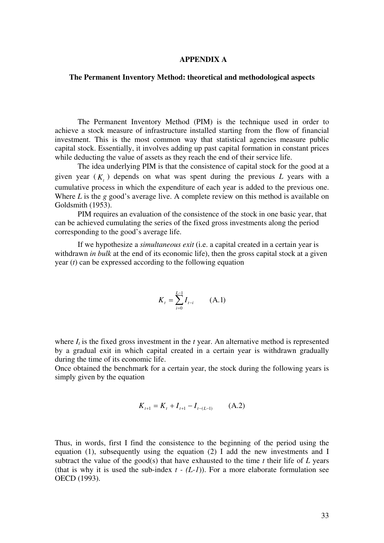#### **APPENDIX A**

#### **The Permanent Inventory Method: theoretical and methodological aspects**

The Permanent Inventory Method (PIM) is the technique used in order to achieve a stock measure of infrastructure installed starting from the flow of financial investment. This is the most common way that statistical agencies measure public capital stock. Essentially, it involves adding up past capital formation in constant prices while deducting the value of assets as they reach the end of their service life.

The idea underlying PIM is that the consistence of capital stock for the good at a given year  $(K<sub>t</sub>)$  depends on what was spent during the previous *L* years with a cumulative process in which the expenditure of each year is added to the previous one. Where *L* is the *g* good's average live. A complete review on this method is available on Goldsmith (1953).

PIM requires an evaluation of the consistence of the stock in one basic year, that can be achieved cumulating the series of the fixed gross investments along the period corresponding to the good's average life.

If we hypothesize a *simultaneous exit* (i.e. a capital created in a certain year is withdrawn *in bulk* at the end of its economic life), then the gross capital stock at a given year (*t*) can be expressed according to the following equation

$$
K_t = \sum_{i=0}^{L-1} I_{t-i} \qquad (A.1)
$$

where  $I_t$  is the fixed gross investment in the  $t$  year. An alternative method is represented by a gradual exit in which capital created in a certain year is withdrawn gradually during the time of its economic life.

Once obtained the benchmark for a certain year, the stock during the following years is simply given by the equation

$$
K_{t+1} = K_t + I_{t+1} - I_{t-(L-1)} \tag{A.2}
$$

Thus, in words, first I find the consistence to the beginning of the period using the equation (1), subsequently using the equation (2) I add the new investments and I subtract the value of the good(s) that have exhausted to the time  $t$  their life of  $L$  years (that is why it is used the sub-index  $t - (L-1)$ ). For a more elaborate formulation see OECD (1993).